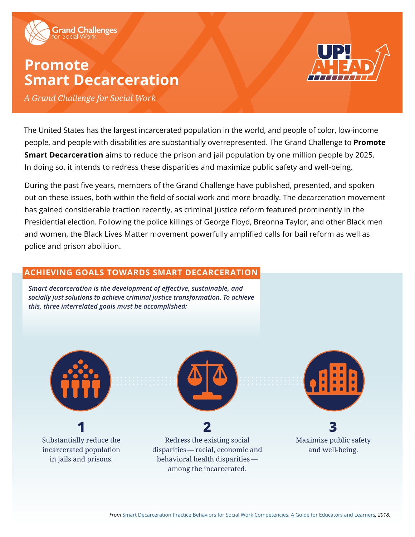

# **Promote Smart Decarceration**



*A Grand Challenge for Social Work*

The United States has the largest incarcerated population in the world, and people of color, low-income people, and people with disabilities are substantially overrepresented. The Grand Challenge to **Promote Smart Decarceration** aims to reduce the prison and jail population by one million people by 2025. In doing so, it intends to redress these disparities and maximize public safety and well-being.

During the past five years, members of the Grand Challenge have published, presented, and spoken out on these issues, both within the field of social work and more broadly. The decarceration movement has gained considerable traction recently, as criminal justice reform featured prominently in the Presidential election. Following the police killings of George Floyd, Breonna Taylor, and other Black men and women, the Black Lives Matter movement powerfully amplified calls for bail reform as well as police and prison abolition.

### **ACHIEVING GOALS TOWARDS SMART DECARCERATION**

*Smart decarceration is the development of effective, sustainable, and socially just solutions to achieve criminal justice transformation. To achieve this, three interrelated goals must be accomplished:*